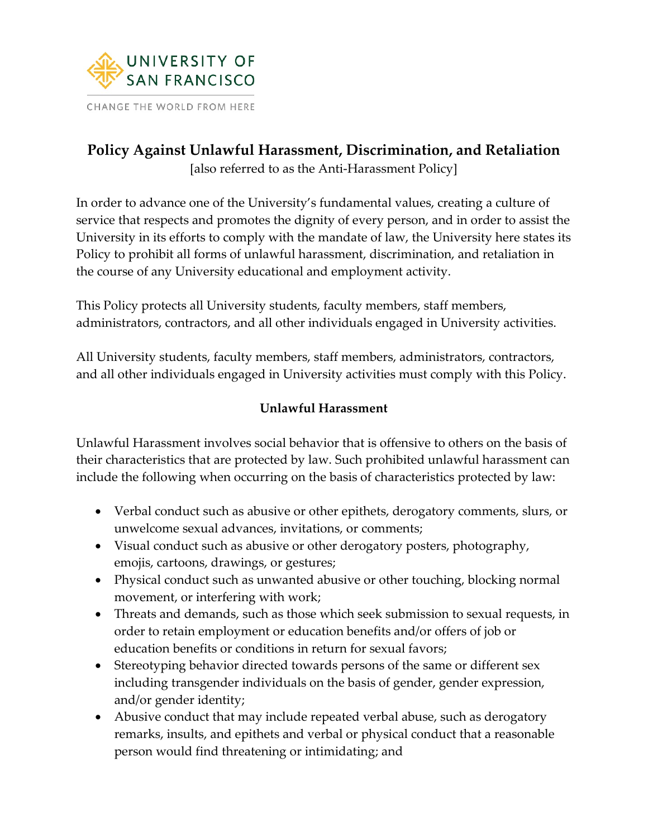

# **Policy Against Unlawful Harassment, Discrimination, and Retaliation**

[also referred to as the Anti-Harassment Policy]

In order to advance one of the University's fundamental values, creating a culture of service that respects and promotes the dignity of every person, and in order to assist the University in its efforts to comply with the mandate of law, the University here states its Policy to prohibit all forms of unlawful harassment, discrimination, and retaliation in the course of any University educational and employment activity.

This Policy protects all University students, faculty members, staff members, administrators, contractors, and all other individuals engaged in University activities.

All University students, faculty members, staff members, administrators, contractors, and all other individuals engaged in University activities must comply with this Policy.

## **Unlawful Harassment**

Unlawful Harassment involves social behavior that is offensive to others on the basis of their characteristics that are protected by law. Such prohibited unlawful harassment can include the following when occurring on the basis of characteristics protected by law:

- Verbal conduct such as abusive or other epithets, derogatory comments, slurs, or unwelcome sexual advances, invitations, or comments;
- Visual conduct such as abusive or other derogatory posters, photography, emojis, cartoons, drawings, or gestures;
- Physical conduct such as unwanted abusive or other touching, blocking normal movement, or interfering with work;
- Threats and demands, such as those which seek submission to sexual requests, in order to retain employment or education benefits and/or offers of job or education benefits or conditions in return for sexual favors;
- Stereotyping behavior directed towards persons of the same or different sex including transgender individuals on the basis of gender, gender expression, and/or gender identity;
- Abusive conduct that may include repeated verbal abuse, such as derogatory remarks, insults, and epithets and verbal or physical conduct that a reasonable person would find threatening or intimidating; and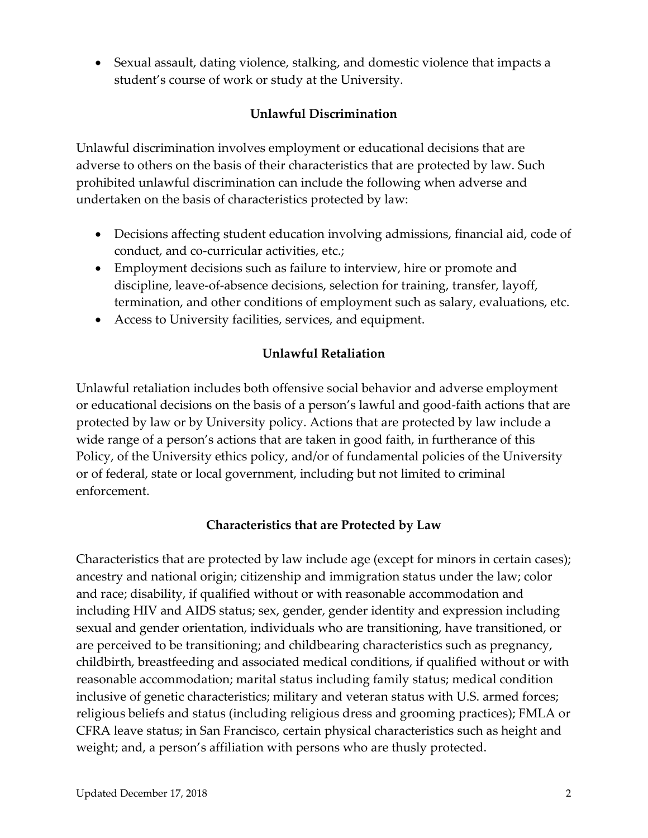• Sexual assault, dating violence, stalking, and domestic violence that impacts a student's course of work or study at the University.

## **Unlawful Discrimination**

Unlawful discrimination involves employment or educational decisions that are adverse to others on the basis of their characteristics that are protected by law. Such prohibited unlawful discrimination can include the following when adverse and undertaken on the basis of characteristics protected by law:

- Decisions affecting student education involving admissions, financial aid, code of conduct, and co-curricular activities, etc.;
- Employment decisions such as failure to interview, hire or promote and discipline, leave-of-absence decisions, selection for training, transfer, layoff, termination, and other conditions of employment such as salary, evaluations, etc.
- Access to University facilities, services, and equipment.

### **Unlawful Retaliation**

Unlawful retaliation includes both offensive social behavior and adverse employment or educational decisions on the basis of a person's lawful and good-faith actions that are protected by law or by University policy. Actions that are protected by law include a wide range of a person's actions that are taken in good faith, in furtherance of this Policy, of the University ethics policy, and/or of fundamental policies of the University or of federal, state or local government, including but not limited to criminal enforcement.

#### **Characteristics that are Protected by Law**

Characteristics that are protected by law include age (except for minors in certain cases); ancestry and national origin; citizenship and immigration status under the law; color and race; disability, if qualified without or with reasonable accommodation and including HIV and AIDS status; sex, gender, gender identity and expression including sexual and gender orientation, individuals who are transitioning, have transitioned, or are perceived to be transitioning; and childbearing characteristics such as pregnancy, childbirth, breastfeeding and associated medical conditions, if qualified without or with reasonable accommodation; marital status including family status; medical condition inclusive of genetic characteristics; military and veteran status with U.S. armed forces; religious beliefs and status (including religious dress and grooming practices); FMLA or CFRA leave status; in San Francisco, certain physical characteristics such as height and weight; and, a person's affiliation with persons who are thusly protected.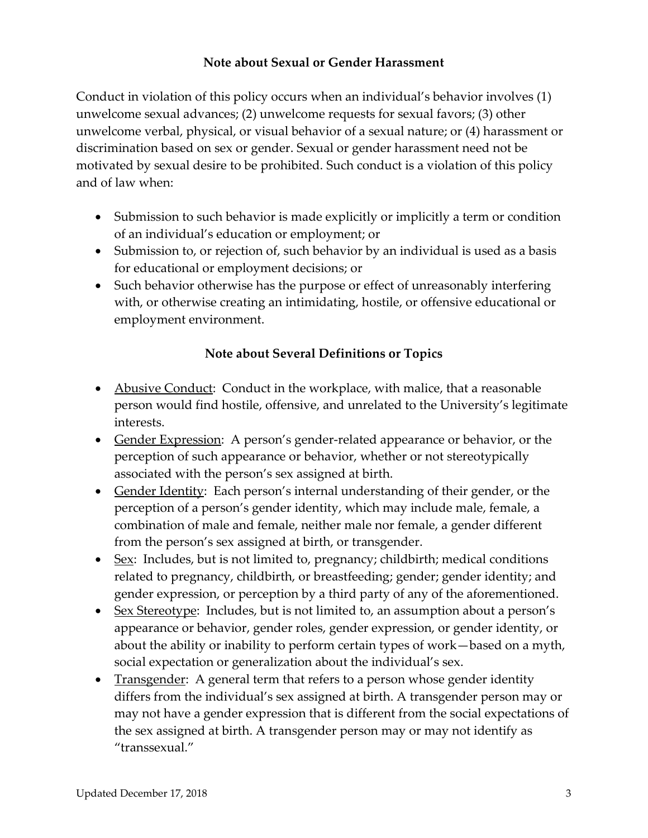#### **Note about Sexual or Gender Harassment**

Conduct in violation of this policy occurs when an individual's behavior involves (1) unwelcome sexual advances; (2) unwelcome requests for sexual favors; (3) other unwelcome verbal, physical, or visual behavior of a sexual nature; or (4) harassment or discrimination based on sex or gender. Sexual or gender harassment need not be motivated by sexual desire to be prohibited. Such conduct is a violation of this policy and of law when:

- Submission to such behavior is made explicitly or implicitly a term or condition of an individual's education or employment; or
- Submission to, or rejection of, such behavior by an individual is used as a basis for educational or employment decisions; or
- Such behavior otherwise has the purpose or effect of unreasonably interfering with, or otherwise creating an intimidating, hostile, or offensive educational or employment environment.

#### **Note about Several Definitions or Topics**

- Abusive Conduct: Conduct in the workplace, with malice, that a reasonable person would find hostile, offensive, and unrelated to the University's legitimate interests.
- Gender Expression: A person's gender-related appearance or behavior, or the perception of such appearance or behavior, whether or not stereotypically associated with the person's sex assigned at birth.
- Gender Identity: Each person's internal understanding of their gender, or the perception of a person's gender identity, which may include male, female, a combination of male and female, neither male nor female, a gender different from the person's sex assigned at birth, or transgender.
- Sex: Includes, but is not limited to, pregnancy; childbirth; medical conditions related to pregnancy, childbirth, or breastfeeding; gender; gender identity; and gender expression, or perception by a third party of any of the aforementioned.
- Sex Stereotype: Includes, but is not limited to, an assumption about a person's appearance or behavior, gender roles, gender expression, or gender identity, or about the ability or inability to perform certain types of work—based on a myth, social expectation or generalization about the individual's sex.
- Transgender: A general term that refers to a person whose gender identity differs from the individual's sex assigned at birth. A transgender person may or may not have a gender expression that is different from the social expectations of the sex assigned at birth. A transgender person may or may not identify as "transsexual."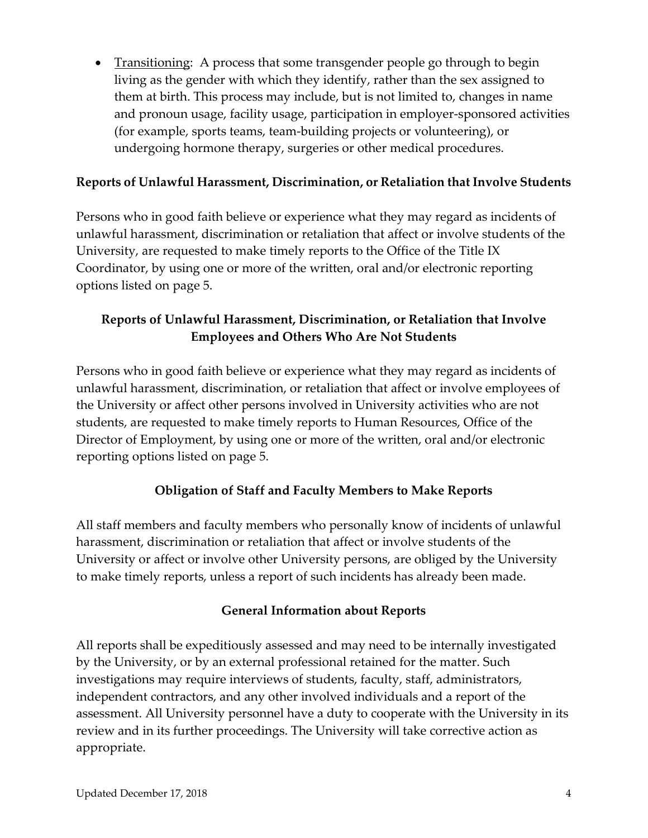• Transitioning: A process that some transgender people go through to begin living as the gender with which they identify, rather than the sex assigned to them at birth. This process may include, but is not limited to, changes in name and pronoun usage, facility usage, participation in employer-sponsored activities (for example, sports teams, team-building projects or volunteering), or undergoing hormone therapy, surgeries or other medical procedures.

#### **Reports of Unlawful Harassment, Discrimination, or Retaliation that Involve Students**

Persons who in good faith believe or experience what they may regard as incidents of unlawful harassment, discrimination or retaliation that affect or involve students of the University, are requested to make timely reports to the Office of the Title IX Coordinator, by using one or more of the written, oral and/or electronic reporting options listed on page 5.

## **Reports of Unlawful Harassment, Discrimination, or Retaliation that Involve Employees and Others Who Are Not Students**

Persons who in good faith believe or experience what they may regard as incidents of unlawful harassment, discrimination, or retaliation that affect or involve employees of the University or affect other persons involved in University activities who are not students, are requested to make timely reports to Human Resources, Office of the Director of Employment, by using one or more of the written, oral and/or electronic reporting options listed on page 5.

#### **Obligation of Staff and Faculty Members to Make Reports**

All staff members and faculty members who personally know of incidents of unlawful harassment, discrimination or retaliation that affect or involve students of the University or affect or involve other University persons, are obliged by the University to make timely reports, unless a report of such incidents has already been made.

#### **General Information about Reports**

All reports shall be expeditiously assessed and may need to be internally investigated by the University, or by an external professional retained for the matter. Such investigations may require interviews of students, faculty, staff, administrators, independent contractors, and any other involved individuals and a report of the assessment. All University personnel have a duty to cooperate with the University in its review and in its further proceedings. The University will take corrective action as appropriate.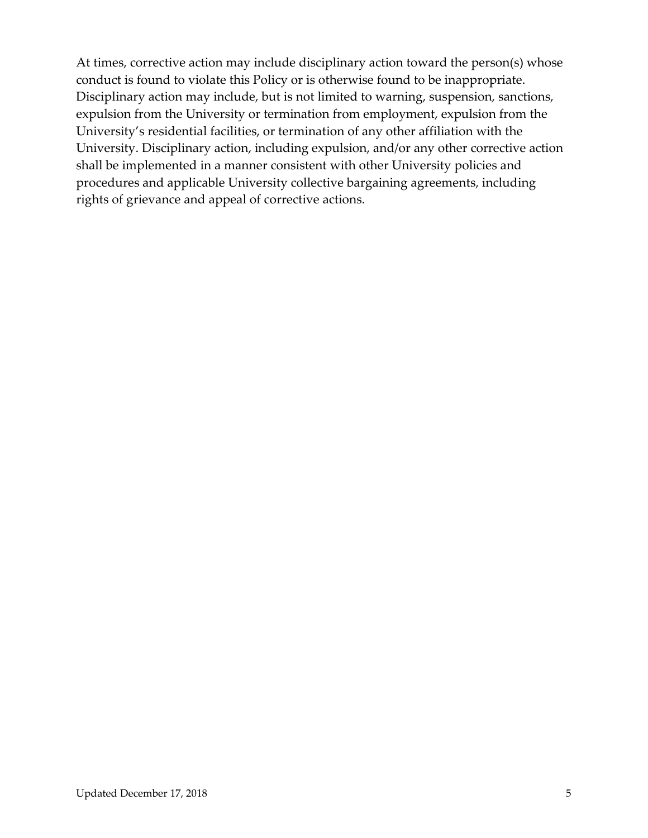At times, corrective action may include disciplinary action toward the person(s) whose conduct is found to violate this Policy or is otherwise found to be inappropriate. Disciplinary action may include, but is not limited to warning, suspension, sanctions, expulsion from the University or termination from employment, expulsion from the University's residential facilities, or termination of any other affiliation with the University. Disciplinary action, including expulsion, and/or any other corrective action shall be implemented in a manner consistent with other University policies and procedures and applicable University collective bargaining agreements, including rights of grievance and appeal of corrective actions.